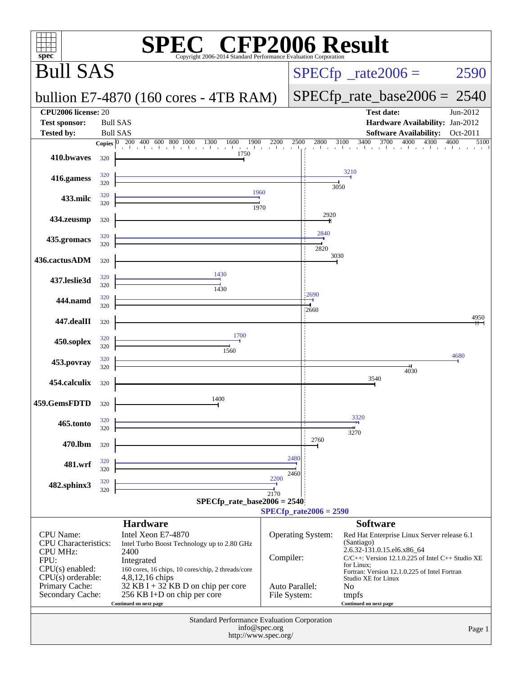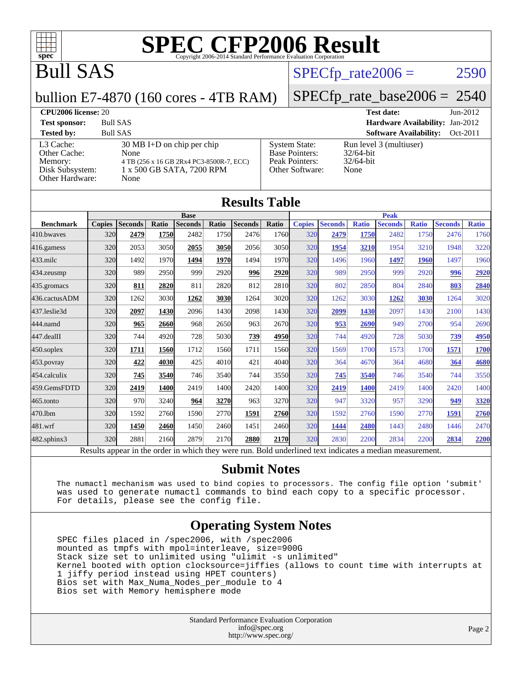

# Bull SAS

### $SPECTp\_rate2006 = 2590$

#### bullion E7-4870 (160 cores - 4TB RAM)

[Disk Subsystem:](http://www.spec.org/auto/cpu2006/Docs/result-fields.html#DiskSubsystem) 1 x 500 GB SATA, 7200 RPM

## [SPECfp\\_rate\\_base2006 =](http://www.spec.org/auto/cpu2006/Docs/result-fields.html#SPECfpratebase2006) 2540

#### **[CPU2006 license:](http://www.spec.org/auto/cpu2006/Docs/result-fields.html#CPU2006license)** 20 **[Test date:](http://www.spec.org/auto/cpu2006/Docs/result-fields.html#Testdate)** Jun-2012

[Other Hardware:](http://www.spec.org/auto/cpu2006/Docs/result-fields.html#OtherHardware) None

[Other Cache:](http://www.spec.org/auto/cpu2006/Docs/result-fields.html#OtherCache)

**[Test sponsor:](http://www.spec.org/auto/cpu2006/Docs/result-fields.html#Testsponsor)** Bull SAS **[Hardware Availability:](http://www.spec.org/auto/cpu2006/Docs/result-fields.html#HardwareAvailability)** Jan-2012 **[Tested by:](http://www.spec.org/auto/cpu2006/Docs/result-fields.html#Testedby)** Bull SAS **[Software Availability:](http://www.spec.org/auto/cpu2006/Docs/result-fields.html#SoftwareAvailability)** Oct-2011 [L3 Cache:](http://www.spec.org/auto/cpu2006/Docs/result-fields.html#L3Cache) 30 MB I+D on chip per chip<br>Other Cache: None [Memory:](http://www.spec.org/auto/cpu2006/Docs/result-fields.html#Memory) 4 TB (256 x 16 GB 2Rx4 PC3-8500R-7, ECC) [System State:](http://www.spec.org/auto/cpu2006/Docs/result-fields.html#SystemState) Run level 3 (multiuser)<br>Base Pointers: 32/64-bit [Base Pointers:](http://www.spec.org/auto/cpu2006/Docs/result-fields.html#BasePointers)

[Peak Pointers:](http://www.spec.org/auto/cpu2006/Docs/result-fields.html#PeakPointers) 32/64-bit [Other Software:](http://www.spec.org/auto/cpu2006/Docs/result-fields.html#OtherSoftware) None

|                   |               |                |       |                |       | <b>Results Table</b> |       |               |                |              |                                                                                                          |              |                |              |  |
|-------------------|---------------|----------------|-------|----------------|-------|----------------------|-------|---------------|----------------|--------------|----------------------------------------------------------------------------------------------------------|--------------|----------------|--------------|--|
|                   | <b>Base</b>   |                |       |                |       |                      |       |               | <b>Peak</b>    |              |                                                                                                          |              |                |              |  |
| <b>Benchmark</b>  | <b>Copies</b> | <b>Seconds</b> | Ratio | <b>Seconds</b> | Ratio | <b>Seconds</b>       | Ratio | <b>Copies</b> | <b>Seconds</b> | <b>Ratio</b> | <b>Seconds</b>                                                                                           | <b>Ratio</b> | <b>Seconds</b> | <b>Ratio</b> |  |
| 410.bwaves        | 320           | 2479           | 1750  | 2482           | 1750  | 2476                 | 1760  | 320           | 2479           | 1750         | 2482                                                                                                     | 1750         | 2476           | 1760         |  |
| 416.gamess        | 320           | 2053           | 3050  | 2055           | 3050  | 2056                 | 3050  | 320           | 1954           | 3210         | 1954                                                                                                     | 3210         | 1948           | 3220         |  |
| $433$ .milc       | 320           | 1492           | 1970  | 1494           | 1970  | 1494                 | 1970  | 320           | 1496           | 1960         | 1497                                                                                                     | 1960         | 1497           | 1960         |  |
| 434.zeusmp        | 320           | 989            | 2950  | 999            | 2920  | 996                  | 2920  | 320           | 989            | 2950         | 999                                                                                                      | 2920         | 996            | 2920         |  |
| 435.gromacs       | 320           | 811            | 2820  | 811            | 2820  | 812                  | 2810  | 320           | 802            | 2850         | 804                                                                                                      | 2840         | 803            | 2840         |  |
| 436.cactusADM     | 320           | 1262           | 3030  | 1262           | 3030  | 1264                 | 3020  | 320           | 1262           | 3030         | 1262                                                                                                     | 3030         | 1264           | 3020         |  |
| 437.leslie3d      | 320           | 2097           | 1430  | 2096           | 1430  | 2098                 | 1430  | 320           | 2099           | 1430         | 2097                                                                                                     | 1430         | 2100           | 1430         |  |
| 444.namd          | 320           | 965            | 2660  | 968            | 2650  | 963                  | 2670  | 320           | 953            | 2690         | 949                                                                                                      | 2700         | 954            | 2690         |  |
| 447.dealII        | 320           | 744            | 4920  | 728            | 5030  | 739                  | 4950  | 320           | 744            | 4920         | 728                                                                                                      | 5030         | 739            | 4950         |  |
| $450$ .soplex     | 320           | 1711           | 1560  | 1712           | 1560  | 1711                 | 1560  | 320           | 1569           | 1700         | 1573                                                                                                     | 1700         | 1571           | 1700         |  |
| $453$ .povray     | 320           | 422            | 4030  | 425            | 4010  | 421                  | 4040  | 320           | 364            | 4670         | 364                                                                                                      | 4680         | 364            | 4680         |  |
| 454.calculix      | 320           | 745            | 3540  | 746            | 3540  | 744                  | 3550  | 320           | 745            | 3540         | 746                                                                                                      | 3540         | 744            | 3550         |  |
| 459.GemsFDTD      | 320           | 2419           | 1400  | 2419           | 1400  | 2420                 | 1400  | 320           | 2419           | 1400         | 2419                                                                                                     | 1400         | 2420           | 1400         |  |
| $465$ .tonto      | 320           | 970            | 3240  | 964            | 3270  | 963                  | 3270  | 320           | 947            | 3320         | 957                                                                                                      | 3290         | 949            | 3320         |  |
| 470.1bm           | 320           | 1592           | 2760  | 1590           | 2770  | 1591                 | 2760  | 320           | 1592           | 2760         | 1590                                                                                                     | 2770         | 1591           | 2760         |  |
| 481.wrf           | 320           | 1450           | 2460  | 1450           | 2460  | 1451                 | 2460  | 320           | 1444           | 2480         | 1443                                                                                                     | 2480         | 1446           | 2470         |  |
| $482$ .sphinx $3$ | 320           | 2881           | 2160  | 2879           | 2170  | 2880                 | 2170  | 320           | 2830           | 2200         | 2834                                                                                                     | 2200         | 2834           | 2200         |  |
|                   |               |                |       |                |       |                      |       |               |                |              | Results appear in the order in which they were run. Bold underlined text indicates a median measurement. |              |                |              |  |

#### **[Submit Notes](http://www.spec.org/auto/cpu2006/Docs/result-fields.html#SubmitNotes)**

 The numactl mechanism was used to bind copies to processors. The config file option 'submit' was used to generate numactl commands to bind each copy to a specific processor. For details, please see the config file.

### **[Operating System Notes](http://www.spec.org/auto/cpu2006/Docs/result-fields.html#OperatingSystemNotes)**

 SPEC files placed in /spec2006, with /spec2006 mounted as tmpfs with mpol=interleave, size=900G Stack size set to unlimited using "ulimit -s unlimited" Kernel booted with option clocksource=jiffies (allows to count time with interrupts at 1 jiffy period instead using HPET counters) Bios set with Max\_Numa\_Nodes\_per\_module to 4 Bios set with Memory hemisphere mode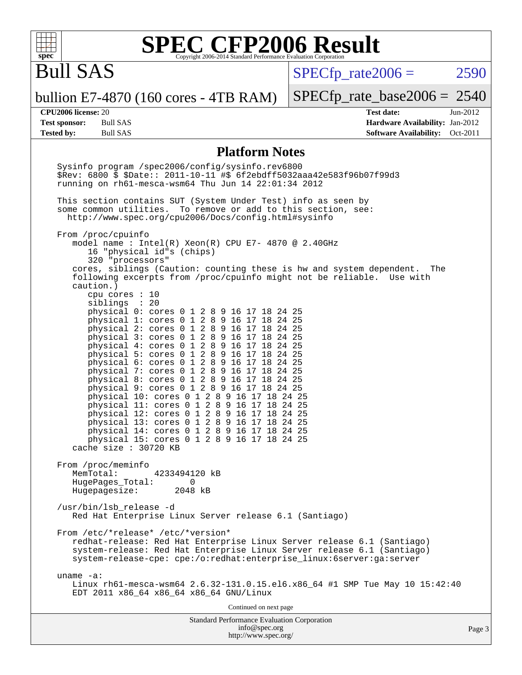

# Bull SAS

 $SPECTp\_rate2006 = 2590$ 

bullion E7-4870 (160 cores - 4TB RAM)

[SPECfp\\_rate\\_base2006 =](http://www.spec.org/auto/cpu2006/Docs/result-fields.html#SPECfpratebase2006) 2540

**[CPU2006 license:](http://www.spec.org/auto/cpu2006/Docs/result-fields.html#CPU2006license)** 20 **[Test date:](http://www.spec.org/auto/cpu2006/Docs/result-fields.html#Testdate)** Jun-2012 **[Test sponsor:](http://www.spec.org/auto/cpu2006/Docs/result-fields.html#Testsponsor)** Bull SAS **[Hardware Availability:](http://www.spec.org/auto/cpu2006/Docs/result-fields.html#HardwareAvailability)** Jan-2012 **[Tested by:](http://www.spec.org/auto/cpu2006/Docs/result-fields.html#Testedby)** Bull SAS **[Software Availability:](http://www.spec.org/auto/cpu2006/Docs/result-fields.html#SoftwareAvailability)** Oct-2011

#### **[Platform Notes](http://www.spec.org/auto/cpu2006/Docs/result-fields.html#PlatformNotes)**

Standard Performance Evaluation Corporation [info@spec.org](mailto:info@spec.org) Sysinfo program /spec2006/config/sysinfo.rev6800 \$Rev: 6800 \$ \$Date:: 2011-10-11 #\$ 6f2ebdff5032aaa42e583f96b07f99d3 running on rh61-mesca-wsm64 Thu Jun 14 22:01:34 2012 This section contains SUT (System Under Test) info as seen by some common utilities. To remove or add to this section, see: <http://www.spec.org/cpu2006/Docs/config.html#sysinfo> From /proc/cpuinfo model name : Intel(R) Xeon(R) CPU E7- 4870 @ 2.40GHz 16 "physical id"s (chips) 320 "processors" cores, siblings (Caution: counting these is hw and system dependent. The following excerpts from /proc/cpuinfo might not be reliable. Use with caution.) cpu cores : 10 siblings : 20 physical 0: cores 0 1 2 8 9 16 17 18 24 25 physical 1: cores 0 1 2 8 9 16 17 18 24 25 physical 2: cores 0 1 2 8 9 16 17 18 24 25 physical 3: cores 0 1 2 8 9 16 17 18 24 25 physical  $4:$  cores  $0$  1 physical 5: cores 0 1 2 8 9 16 17 18 24 25 physical 6: cores 0 1 2 8 9 16 17 18 24 25 physical 7: cores 0 1 2 8 9 16 17 18 24 25 physical 8: cores 0 1 2 8 9 16 17 18 24 25 physical 9: cores 0 1 2 8 9 16 17 18 24 25 physical 10: cores 0 1 2 8 9 16 17 18 24 25 physical 11: cores 0 1 2 8 9 16 17 18 24 25 physical 12: cores 0 1 2 8 9 16 17 18 24 25 physical 13: cores 0 1 2 8 9 16 17 18 24 25 physical 14: cores 0 1 2 8 9 16 17 18 24 25 physical 15: cores 0 1 2 8 9 16 17 18 24 25 cache size : 30720 KB From /proc/meminfo MemTotal: 4233494120 kB HugePages\_Total: 0<br>Hugepagesize: 2048 kB Hugepagesize: /usr/bin/lsb\_release -d Red Hat Enterprise Linux Server release 6.1 (Santiago) From /etc/\*release\* /etc/\*version\* redhat-release: Red Hat Enterprise Linux Server release 6.1 (Santiago) system-release: Red Hat Enterprise Linux Server release 6.1 (Santiago) system-release-cpe: cpe:/o:redhat:enterprise\_linux:6server:ga:server uname -a: Linux rh61-mesca-wsm64 2.6.32-131.0.15.el6.x86\_64 #1 SMP Tue May 10 15:42:40 EDT 2011 x86\_64 x86\_64 x86\_64 GNU/Linux Continued on next page

<http://www.spec.org/>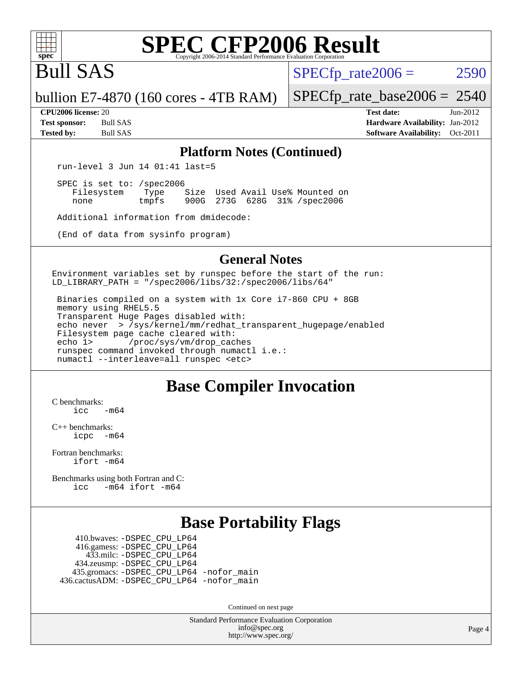

# Bull SAS

 $SPECTp\_rate2006 = 2590$ 

bullion E7-4870 (160 cores - 4TB RAM)

[SPECfp\\_rate\\_base2006 =](http://www.spec.org/auto/cpu2006/Docs/result-fields.html#SPECfpratebase2006) 2540 **[CPU2006 license:](http://www.spec.org/auto/cpu2006/Docs/result-fields.html#CPU2006license)** 20 **[Test date:](http://www.spec.org/auto/cpu2006/Docs/result-fields.html#Testdate)** Jun-2012

**[Test sponsor:](http://www.spec.org/auto/cpu2006/Docs/result-fields.html#Testsponsor)** Bull SAS **[Hardware Availability:](http://www.spec.org/auto/cpu2006/Docs/result-fields.html#HardwareAvailability)** Jan-2012 **[Tested by:](http://www.spec.org/auto/cpu2006/Docs/result-fields.html#Testedby)** Bull SAS **[Software Availability:](http://www.spec.org/auto/cpu2006/Docs/result-fields.html#SoftwareAvailability)** Oct-2011

#### **[Platform Notes \(Continued\)](http://www.spec.org/auto/cpu2006/Docs/result-fields.html#PlatformNotes)**

run-level 3 Jun 14 01:41 last=5

 SPEC is set to: /spec2006 Filesystem Type Size Used Avail Use% Mounted on<br>none tmpfs 900G 273G 628G 31% /spec2006 900G 273G 628G 31% /spec2006

Additional information from dmidecode:

(End of data from sysinfo program)

### **[General Notes](http://www.spec.org/auto/cpu2006/Docs/result-fields.html#GeneralNotes)**

Environment variables set by runspec before the start of the run: LD LIBRARY\_PATH = "/spec2006/libs/32:/spec2006/libs/64"

 Binaries compiled on a system with 1x Core i7-860 CPU + 8GB memory using RHEL5.5 Transparent Huge Pages disabled with: echo never > /sys/kernel/mm/redhat\_transparent\_hugepage/enabled Filesystem page cache cleared with: echo 1> /proc/sys/vm/drop\_caches runspec command invoked through numactl i.e.: numactl --interleave=all runspec <etc>

## **[Base Compiler Invocation](http://www.spec.org/auto/cpu2006/Docs/result-fields.html#BaseCompilerInvocation)**

[C benchmarks](http://www.spec.org/auto/cpu2006/Docs/result-fields.html#Cbenchmarks):  $\frac{1}{2}$ cc  $-\text{m64}$ 

[C++ benchmarks:](http://www.spec.org/auto/cpu2006/Docs/result-fields.html#CXXbenchmarks) [icpc -m64](http://www.spec.org/cpu2006/results/res2012q3/cpu2006-20120618-22990.flags.html#user_CXXbase_intel_icpc_64bit_bedb90c1146cab66620883ef4f41a67e)

[Fortran benchmarks](http://www.spec.org/auto/cpu2006/Docs/result-fields.html#Fortranbenchmarks): [ifort -m64](http://www.spec.org/cpu2006/results/res2012q3/cpu2006-20120618-22990.flags.html#user_FCbase_intel_ifort_64bit_ee9d0fb25645d0210d97eb0527dcc06e)

[Benchmarks using both Fortran and C](http://www.spec.org/auto/cpu2006/Docs/result-fields.html#BenchmarksusingbothFortranandC): [icc -m64](http://www.spec.org/cpu2006/results/res2012q3/cpu2006-20120618-22990.flags.html#user_CC_FCbase_intel_icc_64bit_0b7121f5ab7cfabee23d88897260401c) [ifort -m64](http://www.spec.org/cpu2006/results/res2012q3/cpu2006-20120618-22990.flags.html#user_CC_FCbase_intel_ifort_64bit_ee9d0fb25645d0210d97eb0527dcc06e)

## **[Base Portability Flags](http://www.spec.org/auto/cpu2006/Docs/result-fields.html#BasePortabilityFlags)**

 410.bwaves: [-DSPEC\\_CPU\\_LP64](http://www.spec.org/cpu2006/results/res2012q3/cpu2006-20120618-22990.flags.html#suite_basePORTABILITY410_bwaves_DSPEC_CPU_LP64) 416.gamess: [-DSPEC\\_CPU\\_LP64](http://www.spec.org/cpu2006/results/res2012q3/cpu2006-20120618-22990.flags.html#suite_basePORTABILITY416_gamess_DSPEC_CPU_LP64) 433.milc: [-DSPEC\\_CPU\\_LP64](http://www.spec.org/cpu2006/results/res2012q3/cpu2006-20120618-22990.flags.html#suite_basePORTABILITY433_milc_DSPEC_CPU_LP64) 434.zeusmp: [-DSPEC\\_CPU\\_LP64](http://www.spec.org/cpu2006/results/res2012q3/cpu2006-20120618-22990.flags.html#suite_basePORTABILITY434_zeusmp_DSPEC_CPU_LP64) 435.gromacs: [-DSPEC\\_CPU\\_LP64](http://www.spec.org/cpu2006/results/res2012q3/cpu2006-20120618-22990.flags.html#suite_basePORTABILITY435_gromacs_DSPEC_CPU_LP64) [-nofor\\_main](http://www.spec.org/cpu2006/results/res2012q3/cpu2006-20120618-22990.flags.html#user_baseLDPORTABILITY435_gromacs_f-nofor_main) 436.cactusADM: [-DSPEC\\_CPU\\_LP64](http://www.spec.org/cpu2006/results/res2012q3/cpu2006-20120618-22990.flags.html#suite_basePORTABILITY436_cactusADM_DSPEC_CPU_LP64) [-nofor\\_main](http://www.spec.org/cpu2006/results/res2012q3/cpu2006-20120618-22990.flags.html#user_baseLDPORTABILITY436_cactusADM_f-nofor_main)

Continued on next page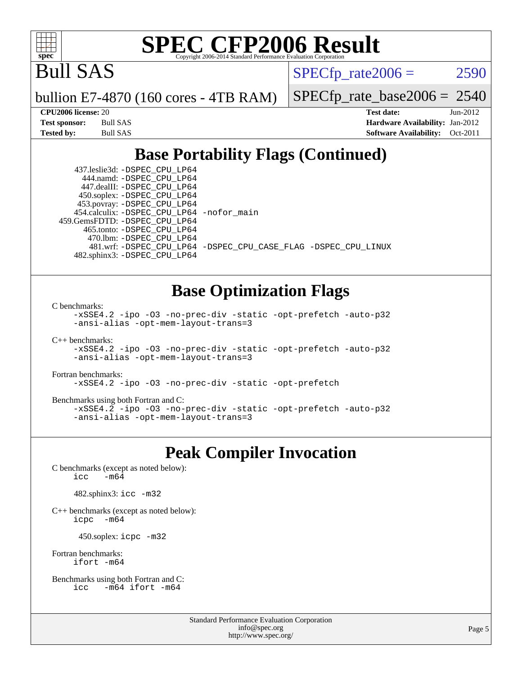

Bull SAS

 $SPECTp\_rate2006 = 2590$ 

bullion E7-4870 (160 cores - 4TB RAM)

[SPECfp\\_rate\\_base2006 =](http://www.spec.org/auto/cpu2006/Docs/result-fields.html#SPECfpratebase2006) 2540

| Test sponsor: | Bull SAS        |
|---------------|-----------------|
| Tested by:    | <b>Bull SAS</b> |

**[CPU2006 license:](http://www.spec.org/auto/cpu2006/Docs/result-fields.html#CPU2006license)** 20 **[Test date:](http://www.spec.org/auto/cpu2006/Docs/result-fields.html#Testdate)** Jun-2012 **[Hardware Availability:](http://www.spec.org/auto/cpu2006/Docs/result-fields.html#HardwareAvailability)** Jan-2012 **[Software Availability:](http://www.spec.org/auto/cpu2006/Docs/result-fields.html#SoftwareAvailability)** Oct-2011

# **[Base Portability Flags \(Continued\)](http://www.spec.org/auto/cpu2006/Docs/result-fields.html#BasePortabilityFlags)**

 437.leslie3d: [-DSPEC\\_CPU\\_LP64](http://www.spec.org/cpu2006/results/res2012q3/cpu2006-20120618-22990.flags.html#suite_basePORTABILITY437_leslie3d_DSPEC_CPU_LP64) 444.namd: [-DSPEC\\_CPU\\_LP64](http://www.spec.org/cpu2006/results/res2012q3/cpu2006-20120618-22990.flags.html#suite_basePORTABILITY444_namd_DSPEC_CPU_LP64) 447.dealII: [-DSPEC\\_CPU\\_LP64](http://www.spec.org/cpu2006/results/res2012q3/cpu2006-20120618-22990.flags.html#suite_basePORTABILITY447_dealII_DSPEC_CPU_LP64) 450.soplex: [-DSPEC\\_CPU\\_LP64](http://www.spec.org/cpu2006/results/res2012q3/cpu2006-20120618-22990.flags.html#suite_basePORTABILITY450_soplex_DSPEC_CPU_LP64) 453.povray: [-DSPEC\\_CPU\\_LP64](http://www.spec.org/cpu2006/results/res2012q3/cpu2006-20120618-22990.flags.html#suite_basePORTABILITY453_povray_DSPEC_CPU_LP64) 454.calculix: [-DSPEC\\_CPU\\_LP64](http://www.spec.org/cpu2006/results/res2012q3/cpu2006-20120618-22990.flags.html#suite_basePORTABILITY454_calculix_DSPEC_CPU_LP64) [-nofor\\_main](http://www.spec.org/cpu2006/results/res2012q3/cpu2006-20120618-22990.flags.html#user_baseLDPORTABILITY454_calculix_f-nofor_main) 459.GemsFDTD: [-DSPEC\\_CPU\\_LP64](http://www.spec.org/cpu2006/results/res2012q3/cpu2006-20120618-22990.flags.html#suite_basePORTABILITY459_GemsFDTD_DSPEC_CPU_LP64) 465.tonto: [-DSPEC\\_CPU\\_LP64](http://www.spec.org/cpu2006/results/res2012q3/cpu2006-20120618-22990.flags.html#suite_basePORTABILITY465_tonto_DSPEC_CPU_LP64) 470.lbm: [-DSPEC\\_CPU\\_LP64](http://www.spec.org/cpu2006/results/res2012q3/cpu2006-20120618-22990.flags.html#suite_basePORTABILITY470_lbm_DSPEC_CPU_LP64) 482.sphinx3: [-DSPEC\\_CPU\\_LP64](http://www.spec.org/cpu2006/results/res2012q3/cpu2006-20120618-22990.flags.html#suite_basePORTABILITY482_sphinx3_DSPEC_CPU_LP64)

481.wrf: [-DSPEC\\_CPU\\_LP64](http://www.spec.org/cpu2006/results/res2012q3/cpu2006-20120618-22990.flags.html#suite_basePORTABILITY481_wrf_DSPEC_CPU_LP64) [-DSPEC\\_CPU\\_CASE\\_FLAG](http://www.spec.org/cpu2006/results/res2012q3/cpu2006-20120618-22990.flags.html#b481.wrf_baseCPORTABILITY_DSPEC_CPU_CASE_FLAG) [-DSPEC\\_CPU\\_LINUX](http://www.spec.org/cpu2006/results/res2012q3/cpu2006-20120618-22990.flags.html#b481.wrf_baseCPORTABILITY_DSPEC_CPU_LINUX)

## **[Base Optimization Flags](http://www.spec.org/auto/cpu2006/Docs/result-fields.html#BaseOptimizationFlags)**

[C benchmarks](http://www.spec.org/auto/cpu2006/Docs/result-fields.html#Cbenchmarks):

[-xSSE4.2](http://www.spec.org/cpu2006/results/res2012q3/cpu2006-20120618-22990.flags.html#user_CCbase_f-xSSE42_f91528193cf0b216347adb8b939d4107) [-ipo](http://www.spec.org/cpu2006/results/res2012q3/cpu2006-20120618-22990.flags.html#user_CCbase_f-ipo) [-O3](http://www.spec.org/cpu2006/results/res2012q3/cpu2006-20120618-22990.flags.html#user_CCbase_f-O3) [-no-prec-div](http://www.spec.org/cpu2006/results/res2012q3/cpu2006-20120618-22990.flags.html#user_CCbase_f-no-prec-div) [-static](http://www.spec.org/cpu2006/results/res2012q3/cpu2006-20120618-22990.flags.html#user_CCbase_f-static) [-opt-prefetch](http://www.spec.org/cpu2006/results/res2012q3/cpu2006-20120618-22990.flags.html#user_CCbase_f-opt-prefetch) [-auto-p32](http://www.spec.org/cpu2006/results/res2012q3/cpu2006-20120618-22990.flags.html#user_CCbase_f-auto-p32) [-ansi-alias](http://www.spec.org/cpu2006/results/res2012q3/cpu2006-20120618-22990.flags.html#user_CCbase_f-ansi-alias) [-opt-mem-layout-trans=3](http://www.spec.org/cpu2006/results/res2012q3/cpu2006-20120618-22990.flags.html#user_CCbase_f-opt-mem-layout-trans_a7b82ad4bd7abf52556d4961a2ae94d5)

[C++ benchmarks:](http://www.spec.org/auto/cpu2006/Docs/result-fields.html#CXXbenchmarks)

```
-xSSE4.2 -ipo -O3 -no-prec-div -static -opt-prefetch -auto-p32
-ansi-alias -opt-mem-layout-trans=3
```
[Fortran benchmarks](http://www.spec.org/auto/cpu2006/Docs/result-fields.html#Fortranbenchmarks):

[-xSSE4.2](http://www.spec.org/cpu2006/results/res2012q3/cpu2006-20120618-22990.flags.html#user_FCbase_f-xSSE42_f91528193cf0b216347adb8b939d4107) [-ipo](http://www.spec.org/cpu2006/results/res2012q3/cpu2006-20120618-22990.flags.html#user_FCbase_f-ipo) [-O3](http://www.spec.org/cpu2006/results/res2012q3/cpu2006-20120618-22990.flags.html#user_FCbase_f-O3) [-no-prec-div](http://www.spec.org/cpu2006/results/res2012q3/cpu2006-20120618-22990.flags.html#user_FCbase_f-no-prec-div) [-static](http://www.spec.org/cpu2006/results/res2012q3/cpu2006-20120618-22990.flags.html#user_FCbase_f-static) [-opt-prefetch](http://www.spec.org/cpu2006/results/res2012q3/cpu2006-20120618-22990.flags.html#user_FCbase_f-opt-prefetch)

[Benchmarks using both Fortran and C](http://www.spec.org/auto/cpu2006/Docs/result-fields.html#BenchmarksusingbothFortranandC):

[-xSSE4.2](http://www.spec.org/cpu2006/results/res2012q3/cpu2006-20120618-22990.flags.html#user_CC_FCbase_f-xSSE42_f91528193cf0b216347adb8b939d4107) [-ipo](http://www.spec.org/cpu2006/results/res2012q3/cpu2006-20120618-22990.flags.html#user_CC_FCbase_f-ipo) [-O3](http://www.spec.org/cpu2006/results/res2012q3/cpu2006-20120618-22990.flags.html#user_CC_FCbase_f-O3) [-no-prec-div](http://www.spec.org/cpu2006/results/res2012q3/cpu2006-20120618-22990.flags.html#user_CC_FCbase_f-no-prec-div) [-static](http://www.spec.org/cpu2006/results/res2012q3/cpu2006-20120618-22990.flags.html#user_CC_FCbase_f-static) [-opt-prefetch](http://www.spec.org/cpu2006/results/res2012q3/cpu2006-20120618-22990.flags.html#user_CC_FCbase_f-opt-prefetch) [-auto-p32](http://www.spec.org/cpu2006/results/res2012q3/cpu2006-20120618-22990.flags.html#user_CC_FCbase_f-auto-p32) [-ansi-alias](http://www.spec.org/cpu2006/results/res2012q3/cpu2006-20120618-22990.flags.html#user_CC_FCbase_f-ansi-alias) [-opt-mem-layout-trans=3](http://www.spec.org/cpu2006/results/res2012q3/cpu2006-20120618-22990.flags.html#user_CC_FCbase_f-opt-mem-layout-trans_a7b82ad4bd7abf52556d4961a2ae94d5)

### **[Peak Compiler Invocation](http://www.spec.org/auto/cpu2006/Docs/result-fields.html#PeakCompilerInvocation)**

[C benchmarks \(except as noted below\)](http://www.spec.org/auto/cpu2006/Docs/result-fields.html#Cbenchmarksexceptasnotedbelow): icc  $-m64$ 

482.sphinx3: [icc -m32](http://www.spec.org/cpu2006/results/res2012q3/cpu2006-20120618-22990.flags.html#user_peakCCLD482_sphinx3_intel_icc_a6a621f8d50482236b970c6ac5f55f93)

[C++ benchmarks \(except as noted below\):](http://www.spec.org/auto/cpu2006/Docs/result-fields.html#CXXbenchmarksexceptasnotedbelow) [icpc -m64](http://www.spec.org/cpu2006/results/res2012q3/cpu2006-20120618-22990.flags.html#user_CXXpeak_intel_icpc_64bit_bedb90c1146cab66620883ef4f41a67e)

450.soplex: [icpc -m32](http://www.spec.org/cpu2006/results/res2012q3/cpu2006-20120618-22990.flags.html#user_peakCXXLD450_soplex_intel_icpc_4e5a5ef1a53fd332b3c49e69c3330699)

[Fortran benchmarks](http://www.spec.org/auto/cpu2006/Docs/result-fields.html#Fortranbenchmarks): [ifort -m64](http://www.spec.org/cpu2006/results/res2012q3/cpu2006-20120618-22990.flags.html#user_FCpeak_intel_ifort_64bit_ee9d0fb25645d0210d97eb0527dcc06e)

[Benchmarks using both Fortran and C](http://www.spec.org/auto/cpu2006/Docs/result-fields.html#BenchmarksusingbothFortranandC): [icc -m64](http://www.spec.org/cpu2006/results/res2012q3/cpu2006-20120618-22990.flags.html#user_CC_FCpeak_intel_icc_64bit_0b7121f5ab7cfabee23d88897260401c) [ifort -m64](http://www.spec.org/cpu2006/results/res2012q3/cpu2006-20120618-22990.flags.html#user_CC_FCpeak_intel_ifort_64bit_ee9d0fb25645d0210d97eb0527dcc06e)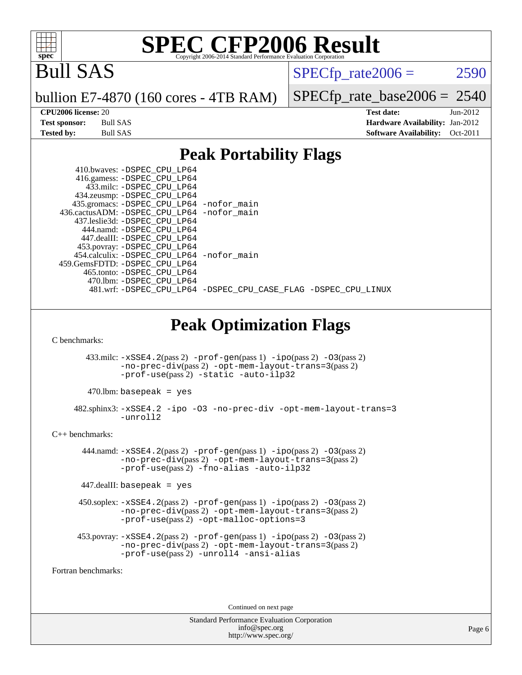

# Bull SAS

 $SPECfp_rate2006 = 2590$  $SPECfp_rate2006 = 2590$ 

bullion E7-4870 (160 cores - 4TB RAM)

[SPECfp\\_rate\\_base2006 =](http://www.spec.org/auto/cpu2006/Docs/result-fields.html#SPECfpratebase2006) 2540

**[CPU2006 license:](http://www.spec.org/auto/cpu2006/Docs/result-fields.html#CPU2006license)** 20 **[Test date:](http://www.spec.org/auto/cpu2006/Docs/result-fields.html#Testdate)** Jun-2012 **[Test sponsor:](http://www.spec.org/auto/cpu2006/Docs/result-fields.html#Testsponsor)** Bull SAS **[Hardware Availability:](http://www.spec.org/auto/cpu2006/Docs/result-fields.html#HardwareAvailability)** Jan-2012 **[Tested by:](http://www.spec.org/auto/cpu2006/Docs/result-fields.html#Testedby)** Bull SAS **[Software Availability:](http://www.spec.org/auto/cpu2006/Docs/result-fields.html#SoftwareAvailability)** Oct-2011

### **[Peak Portability Flags](http://www.spec.org/auto/cpu2006/Docs/result-fields.html#PeakPortabilityFlags)**

| o                                                                                                                                                                                                                                                                                                                 |
|-------------------------------------------------------------------------------------------------------------------------------------------------------------------------------------------------------------------------------------------------------------------------------------------------------------------|
| 410.bwaves: - DSPEC_CPU_LP64<br>416.gamess: -DSPEC CPU LP64<br>433.milc: -DSPEC CPU LP64<br>434.zeusmp: - DSPEC_CPU_LP64<br>435.gromacs: -DSPEC_CPU_LP64 -nofor_main<br>436.cactusADM: -DSPEC_CPU_LP64 -nofor_main<br>437.leslie3d: - DSPEC CPU LP64<br>444.namd: - DSPEC_CPU_LP64<br>447.dealII: -DSPEC_CPU_LP64 |
| 453.povray: -DSPEC_CPU_LP64<br>454.calculix: -DSPEC_CPU_LP64 -nofor_main<br>459.GemsFDTD: - DSPEC CPU LP64<br>465.tonto: - DSPEC_CPU_LP64<br>470.1bm: - DSPEC_CPU_LP64                                                                                                                                            |
| 481.wrf: -DSPEC_CPU_LP64 -DSPEC_CPU_CASE_FLAG -DSPEC_CPU_LINUX                                                                                                                                                                                                                                                    |
| <b>Peak Optimization Flags</b><br>C benchmarks:                                                                                                                                                                                                                                                                   |
| $433 \text{.}$ milc: $-xSSE4$ . $2(\text{pass 2})$ - $\text{prof-gen}(\text{pass 1})$ - $\text{ipo}(\text{pass 2})$ - $03(\text{pass 2})$<br>-no-prec-div(pass 2) -opt-mem-layout-trans=3(pass 2)<br>-prof-use(pass <sup>2</sup> ) -static -auto-ilp32                                                            |
| 470.lbm: basepeak = yes                                                                                                                                                                                                                                                                                           |
| 482.sphinx3: -xSSE4.2 -ipo -03 -no-prec-div -opt-mem-layout-trans=3<br>-unroll2                                                                                                                                                                                                                                   |
| $C_{++}$ benchmarks:                                                                                                                                                                                                                                                                                              |
| $444$ .namd: $-xSSE4$ . $2(pass 2)$ -prof-qen(pass 1) -ipo(pass 2) -03(pass 2)<br>-no-prec-div(pass 2) -opt-mem-layout-trans=3(pass 2)<br>-prof-use(pass2) -fno-alias -auto-ilp32                                                                                                                                 |
| $447$ .dealII: basepeak = yes                                                                                                                                                                                                                                                                                     |
| $450$ .soplex: $-xSSE4$ . $2(pass 2)$ -prof-gen(pass 1) -ipo(pass 2) -03(pass 2)<br>-no-prec-div(pass 2) -opt-mem-layout-trans=3(pass 2)<br>$-prof-use(pass 2) - opt-malloc-optims=3$                                                                                                                             |
| 453.povray: -xSSE4.2(pass 2) -prof-gen(pass 1) -ipo(pass 2) -03(pass 2)<br>-no-prec-div(pass 2) -opt-mem-layout-trans=3(pass 2)<br>-prof-use(pass2) -unroll4 -ansi-alias                                                                                                                                          |
| Fortran benchmarks:                                                                                                                                                                                                                                                                                               |

Continued on next page